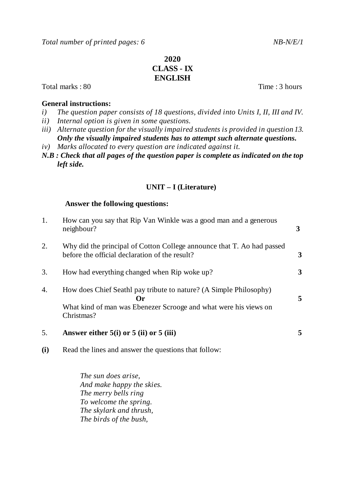# **2020 CLASS - IX ENGLISH**

Total marks : 80 Total marks : 80

## **General instructions:**

- *i) The question paper consists of 18 questions, divided into Units I, II, III and IV.*
- *ii) Internal option is given in some questions.*
- *iii) Alternate question for the visually impaired students is provided in question 13. Only the visually impaired students has to attempt such alternate questions.*
- *iv) Marks allocated to every question are indicated against it.*
- *N.B : Check that all pages of the question paper is complete as indicated on the top left side.*

## **UNIT – I (Literature)**

#### **Answer the following questions:**

| 1. | How can you say that Rip Van Winkle was a good man and a generous<br>neighbour?                                                                            |             |
|----|------------------------------------------------------------------------------------------------------------------------------------------------------------|-------------|
| 2. | Why did the principal of Cotton College announce that T. Ao had passed<br>before the official declaration of the result?                                   | 3           |
| 3. | How had everything changed when Rip woke up?                                                                                                               | $3^{\circ}$ |
| 4. | How does Chief Seathl pay tribute to nature? (A Simple Philosophy)<br>Or<br>What kind of man was Ebenezer Scrooge and what were his views on<br>Christmas? | 5           |
| 5. | Answer either $5(i)$ or $5(ii)$ or $5(iii)$                                                                                                                | 5           |

**(i)** Read the lines and answer the questions that follow:

*The sun does arise, And make happy the skies. The merry bells ring To welcome the spring. The skylark and thrush, The birds of the bush,*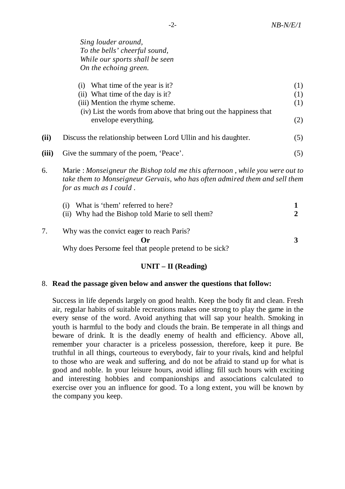*Sing louder around, To the bells' cheerful sound, While our sports shall be seen On the echoing green.* 

|       | What time of the year is it?<br>(ii) What time of the day is it?<br>(iii) Mention the rhyme scheme.<br>(iv) List the words from above that bring out the happiness that<br>envelope everything. | (1)<br>(1)<br>(1)<br>(2) |
|-------|-------------------------------------------------------------------------------------------------------------------------------------------------------------------------------------------------|--------------------------|
| (ii)  | Discuss the relationship between Lord Ullin and his daughter.                                                                                                                                   | (5)                      |
| (iii) | Give the summary of the poem, 'Peace'.                                                                                                                                                          | (5)                      |

6. Marie : *Monseigneur the Bishop told me this afternoon , while you were out to take them to Monseigneur Gervais, who has often admired them and sell them for as much as I could .*

| (i) What is 'them' referred to here?                  |  |
|-------------------------------------------------------|--|
| (ii) Why had the Bishop told Marie to sell them?      |  |
| Why was the convict eager to reach Paris?             |  |
| ( )r                                                  |  |
| Why does Persome feel that people pretend to be sick? |  |

## **UNIT – II (Reading)**

## 8. **Read the passage given below and answer the questions that follow:**

Success in life depends largely on good health. Keep the body fit and clean. Fresh air, regular habits of suitable recreations makes one strong to play the game in the every sense of the word. Avoid anything that will sap your health. Smoking in youth is harmful to the body and clouds the brain. Be temperate in all things and beware of drink. It is the deadly enemy of health and efficiency. Above all, remember your character is a priceless possession, therefore, keep it pure. Be truthful in all things, courteous to everybody, fair to your rivals, kind and helpful to those who are weak and suffering, and do not be afraid to stand up for what is good and noble. In your leisure hours, avoid idling; fill such hours with exciting and interesting hobbies and companionships and associations calculated to exercise over you an influence for good. To a long extent, you will be known by the company you keep.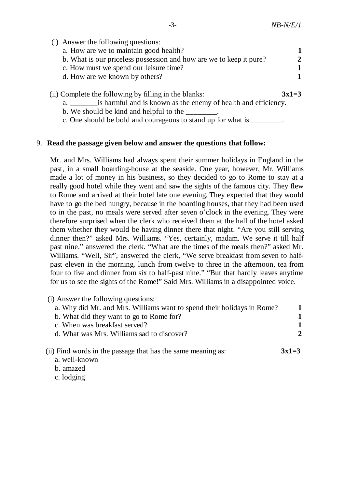| (i) Answer the following questions:                                         |         |
|-----------------------------------------------------------------------------|---------|
| a. How are we to maintain good health?                                      |         |
| b. What is our priceless possession and how are we to keep it pure?         |         |
| c. How must we spend our leisure time?                                      |         |
| d. How are we known by others?                                              |         |
| (ii) Complete the following by filling in the blanks:                       | $3x1=3$ |
| a. _________ is harmful and is known as the enemy of health and efficiency. |         |
| b. We should be kind and helpful to the                                     |         |
| c. One should be bold and courageous to stand up for what is                |         |

## 9. **Read the passage given below and answer the questions that follow:**

Mr. and Mrs. Williams had always spent their summer holidays in England in the past, in a small boarding-house at the seaside. One year, however, Mr. Williams made a lot of money in his business, so they decided to go to Rome to stay at a really good hotel while they went and saw the sights of the famous city. They flew to Rome and arrived at their hotel late one evening. They expected that they would have to go the bed hungry, because in the boarding houses, that they had been used to in the past, no meals were served after seven o'clock in the evening. They were therefore surprised when the clerk who received them at the hall of the hotel asked them whether they would be having dinner there that night. "Are you still serving dinner then?" asked Mrs. Williams. "Yes, certainly, madam. We serve it till half past nine." answered the clerk. "What are the times of the meals then?" asked Mr. Williams. "Well, Sir", answered the clerk, "We serve breakfast from seven to halfpast eleven in the morning, lunch from twelve to three in the afternoon, tea from four to five and dinner from six to half-past nine." "But that hardly leaves anytime for us to see the sights of the Rome!" Said Mrs. Williams in a disappointed voice.

| (1) Allower the following questions.                                          |         |
|-------------------------------------------------------------------------------|---------|
| a. Why did Mr. and Mrs. Williams want to spend their holidays in Rome?        |         |
| b. What did they want to go to Rome for?                                      |         |
| c. When was breakfast served?                                                 |         |
| d. What was Mrs. Williams sad to discover?                                    | 2       |
| (ii) Find words in the passage that has the same meaning as:<br>a. well-known | $3x1=3$ |

b. amazed

 $(i)$  Answer the following questions:

c. lodging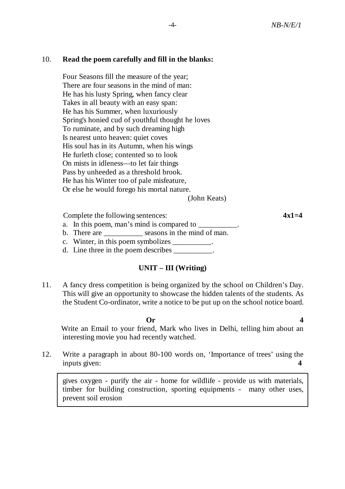## 10. **Read the poem carefully and fill in the blanks:**

Four Seasons fill the measure of the year; There are four seasons in the mind of man: He has his lusty Spring, when fancy clear Takes in all beauty with an easy span: He has his Summer, when luxuriously Spring's honied cud of youthful thought he loves To ruminate, and by such dreaming high Is nearest unto heaven: quiet coves His soul has in its Autumn, when his wings He furleth close; contented so to look On mists in idleness—to let fair things Pass by unheeded as a threshold brook. He has his Winter too of pale misfeature, Or else he would forego his mortal nature.

(John Keats)

Complete the following sentences: **4x1=4** 

a. In this poem, man's mind is compared to

- b. There are seasons in the mind of man.
- c. Winter, in this poem symbolizes  $\cdot$ .
- d. Line three in the poem describes \_\_\_\_\_\_\_\_\_.

## **UNIT – III (Writing)**

11. A fancy dress competition is being organized by the school on Children's Day. This will give an opportunity to showcase the hidden talents of the students. As the Student Co-ordinator, write a notice to be put up on the school notice board.

 **Or 4** Write an Email to your friend, Mark who lives in Delhi, telling him about an interesting movie you had recently watched.

12. Write a paragraph in about 80-100 words on, 'Importance of trees' using the inputs given: **4**

gives oxygen - purify the air - home for wildlife - provide us with materials, timber for building construction, sporting equipments - many other uses, prevent soil erosion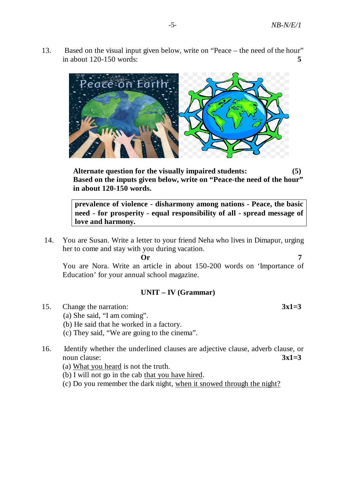13. Based on the visual input given below, write on "Peace – the need of the hour" in about 120-150 words: **5**



**Alternate question for the visually impaired students: (5) Based on the inputs given below, write on "Peace-the need of the hour" in about 120-150 words.**

**prevalence of violence - disharmony among nations - Peace, the basic need - for prosperity - equal responsibility of all - spread message of love and harmony.**

14. You are Susan. Write a letter to your friend Neha who lives in Dimapur, urging her to come and stay with you during vacation.

 **Or 7**

You are Nora. Write an article in about 150-200 words on 'Importance of Education' for your annual school magazine.

## **UNIT – IV (Grammar)**

15. Change the narration: **3x1=3**

(a) She said, "I am coming".

(b) He said that he worked in a factory.

(c) They said, "We are going to the cinema".

16. Identify whether the underlined clauses are adjective clause, adverb clause, or noun clause: **3x1=3** 

(a) What you heard is not the truth.

- (b) I will not go in the cab that you have hired.
- (c) Do you remember the dark night, when it snowed through the night?